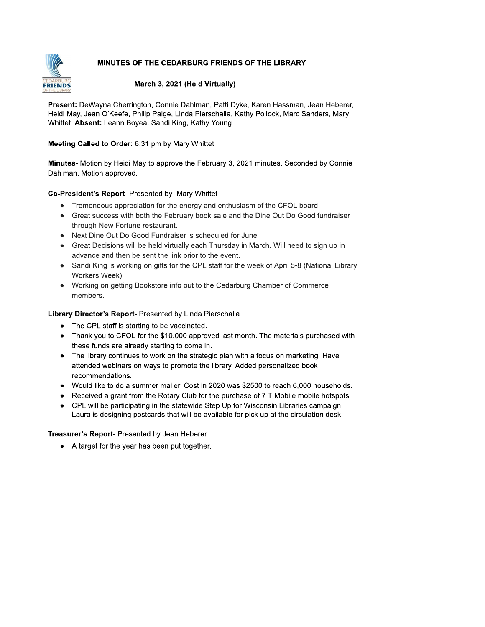# MINUTES OF THE CEDARBURG FRIENDS OF THE LIBRARY



## March 3, 2021 (Held Virtually)

Present: DeWayna Cherrington, Connie Dahlman, Patti Dyke, Karen Hassman, Jean Heberer, Heidi May, Jean O'Keefe, Philip Paige, Linda Pierschalla, Kathy Pollock, Marc Sanders, Mary Whittet Absent: Leann Boyea, Sandi King, Kathy Young

# Meeting Called to Order: 6:31 pm by Mary Whittet

Minutes- Motion by Heidi May to approve the February 3, 2021 minutes. Seconded by Connie Dahlman. Motion approved.

# Co-President's Report- Presented by Mary Whittet

- Tremendous appreciation for the energy and enthusiasm of the CFOL board.
- Great success with both the February book sale and the Dine Out Do Good fundraiser through New Fortune restaurant.
- Next Dine Out Do Good Fundraiser is scheduled for June.
- Great Decisions will be held virtually each Thursday in March. Will need to sign up in advance and then be sent the link prior to the event.
- Sandi King is working on gifts for the CPL staff for the week of April 5-8 (National Library Workers Week).
- Working on getting Bookstore info out to the Cedarburg Chamber of Commerce members.

# Library Director's Report- Presented by Linda Pierschalla

- The CPL staff is starting to be vaccinated.
- Thank you to CFOL for the \$10,000 approved last month. The materials purchased with these funds are already starting to come in.
- The library continues to work on the strategic plan with a focus on marketing. Have attended webinars on ways to promote the library. Added personalized book recommendations.
- Would like to do a summer mailer. Cost in 2020 was \$2500 to reach 6,000 households.
- Received a grant from the Rotary Club for the purchase of 7 T-Mobile mobile hotspots.
- CPL will be participating in the statewide Step Up for Wisconsin Libraries campaign. Laura is designing postcards that will be available for pick up at the circulation desk.

### Treasurer's Report- Presented by Jean Heberer.

• A target for the year has been put together.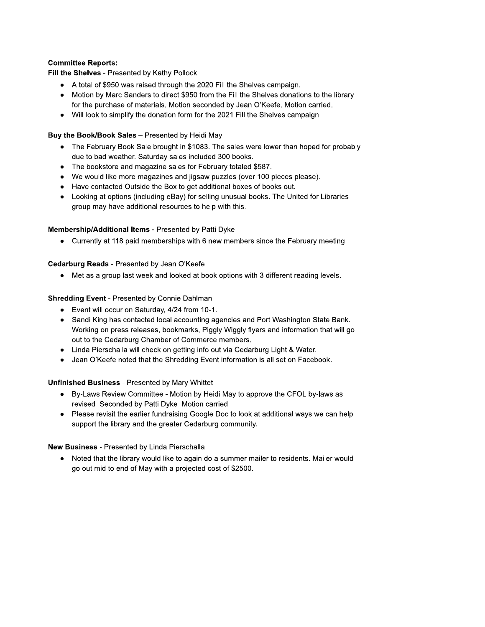## **Committee Reports:**

Fill the Shelves - Presented by Kathy Pollock

- A total of \$950 was raised through the 2020 Fill the Shelves campaign.
- Motion by Marc Sanders to direct \$950 from the Fill the Shelves donations to the library for the purchase of materials. Motion seconded by Jean O'Keefe. Motion carried.
- Will look to simplify the donation form for the 2021 Fill the Shelves campaign.

## Buy the Book/Book Sales - Presented by Heidi May

- The February Book Sale brought in \$1083. The sales were lower than hoped for probably due to bad weather. Saturday sales included 300 books.
- The bookstore and magazine sales for February totaled \$587.
- We would like more magazines and jigsaw puzzles (over 100 pieces please).
- Have contacted Outside the Box to get additional boxes of books out.
- Looking at options (including eBay) for selling unusual books. The United for Libraries group may have additional resources to help with this.

### Membership/Additional Items - Presented by Patti Dyke

• Currently at 118 paid memberships with 6 new members since the February meeting.

# Cedarburg Reads - Presented by Jean O'Keefe

• Met as a group last week and looked at book options with 3 different reading levels.

# **Shredding Event - Presented by Connie Dahlman**

- Event will occur on Saturday, 4/24 from 10-1.
- Sandi King has contacted local accounting agencies and Port Washington State Bank. Working on press releases, bookmarks, Piggly Wiggly flyers and information that will go out to the Cedarburg Chamber of Commerce members.
- Linda Pierschalla will check on getting info out via Cedarburg Light & Water.
- Jean O'Keefe noted that the Shredding Event information is all set on Facebook.

### **Unfinished Business - Presented by Mary Whittet**

- By-Laws Review Committee Motion by Heidi May to approve the CFOL by-laws as revised. Seconded by Patti Dyke. Motion carried.
- Please revisit the earlier fundraising Google Doc to look at additional ways we can help support the library and the greater Cedarburg community.

### New Business - Presented by Linda Pierschalla

• Noted that the library would like to again do a summer mailer to residents. Mailer would go out mid to end of May with a projected cost of \$2500.